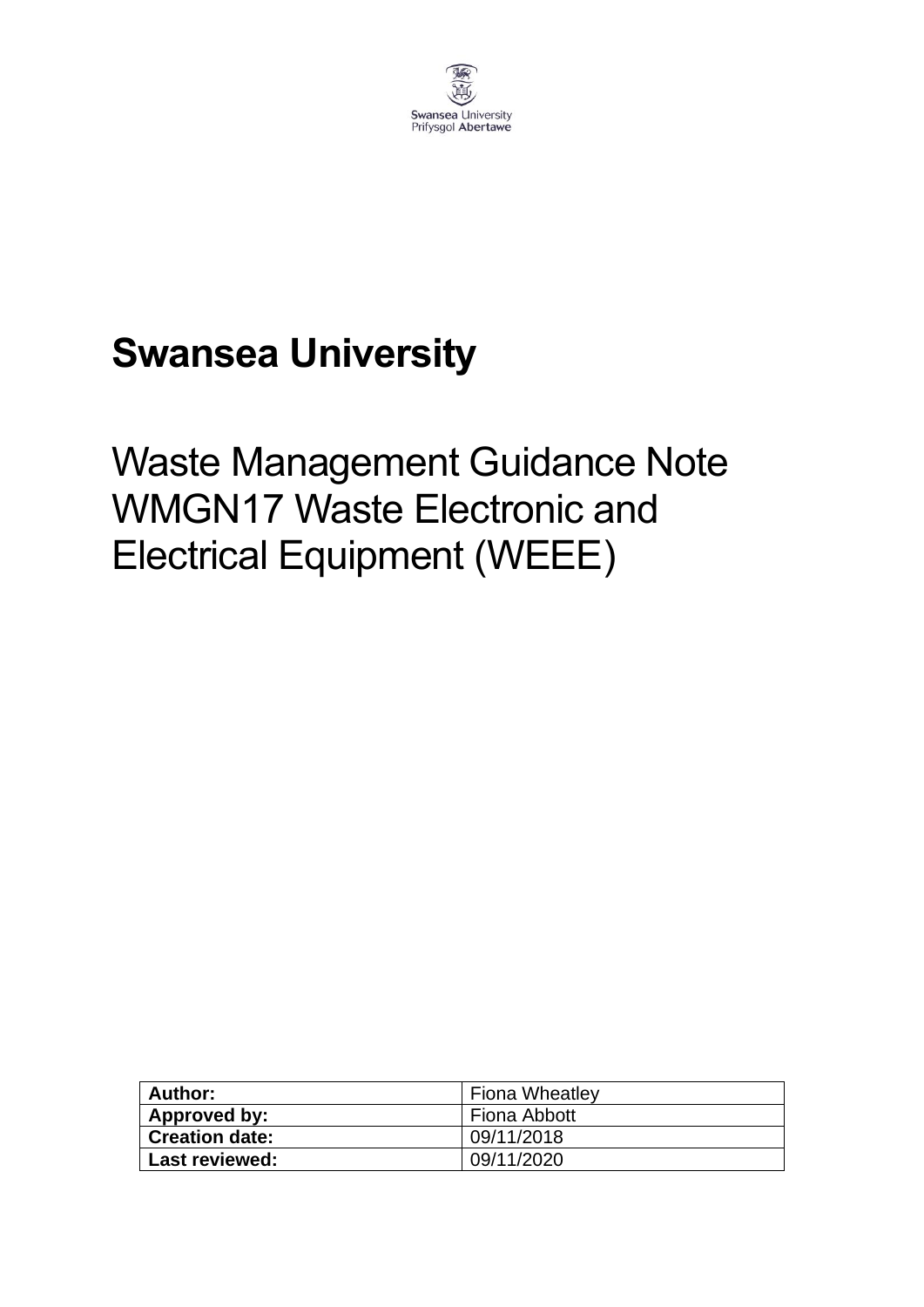

# **Swansea University**

# Waste Management Guidance Note WMGN17 Waste Electronic and Electrical Equipment (WEEE)

| <b>Author:</b>        | <b>Fiona Wheatley</b> |
|-----------------------|-----------------------|
| Approved by:          | Fiona Abbott          |
| <b>Creation date:</b> | 09/11/2018            |
| Last reviewed:        | 09/11/2020            |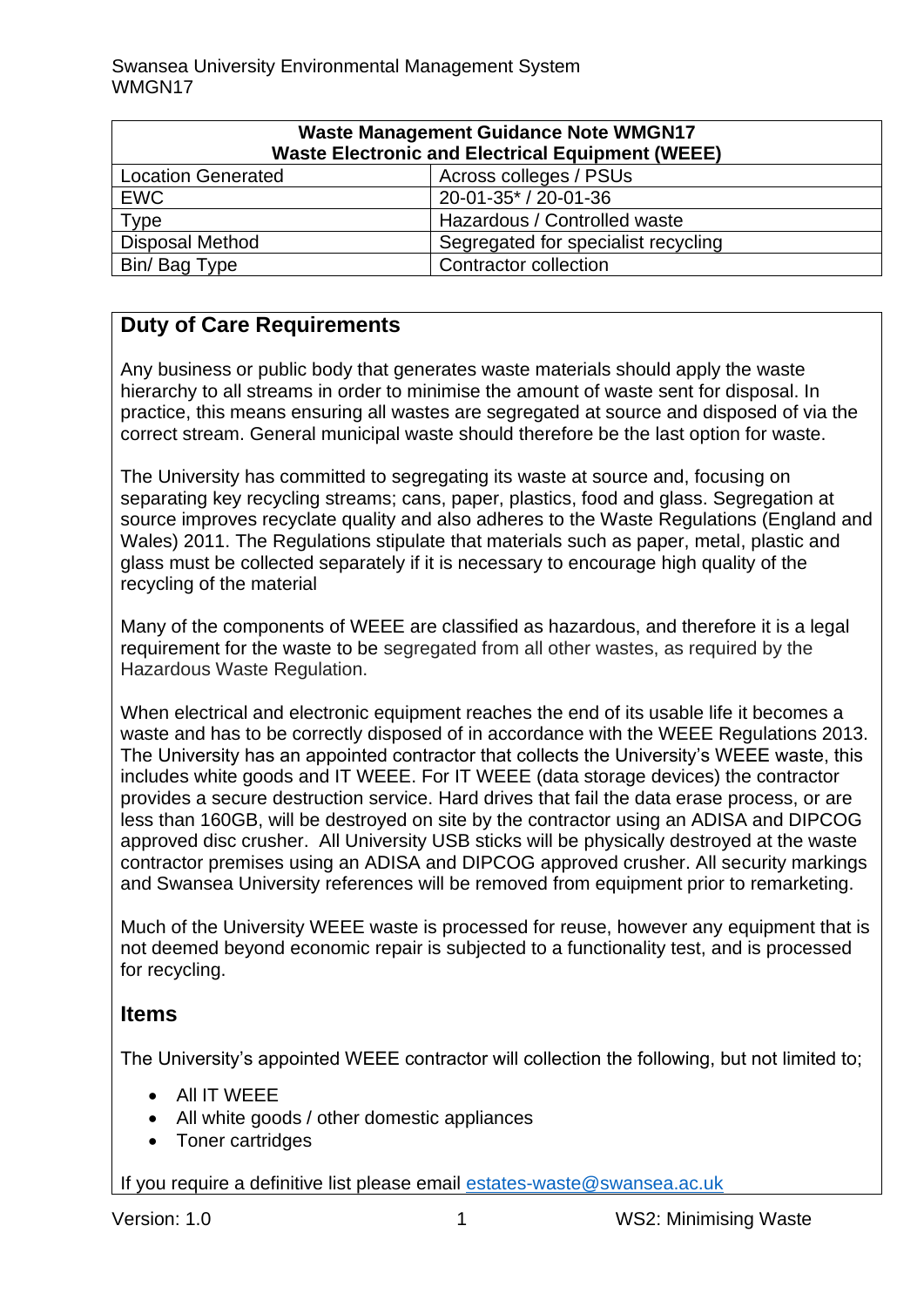| <b>Waste Management Guidance Note WMGN17</b><br><b>Waste Electronic and Electrical Equipment (WEEE)</b> |                                     |  |  |
|---------------------------------------------------------------------------------------------------------|-------------------------------------|--|--|
| <b>Location Generated</b>                                                                               | Across colleges / PSUs              |  |  |
| <b>EWC</b>                                                                                              | 20-01-35* / 20-01-36                |  |  |
| <b>Type</b>                                                                                             | Hazardous / Controlled waste        |  |  |
| <b>Disposal Method</b>                                                                                  | Segregated for specialist recycling |  |  |
| Bin/ Bag Type                                                                                           | <b>Contractor collection</b>        |  |  |

### **Duty of Care Requirements**

Any business or public body that generates waste materials should apply the waste hierarchy to all streams in order to minimise the amount of waste sent for disposal. In practice, this means ensuring all wastes are segregated at source and disposed of via the correct stream. General municipal waste should therefore be the last option for waste.

The University has committed to segregating its waste at source and, focusing on separating key recycling streams; cans, paper, plastics, food and glass. Segregation at source improves recyclate quality and also adheres to the Waste Regulations (England and Wales) 2011. The Regulations stipulate that materials such as paper, metal, plastic and glass must be collected separately if it is necessary to encourage high quality of the recycling of the material

Many of the components of WEEE are classified as hazardous, and therefore it is a legal requirement for the waste to be segregated from all other wastes, as required by the Hazardous Waste Regulation.

When electrical and electronic equipment reaches the end of its usable life it becomes a waste and has to be correctly disposed of in accordance with the WEEE Regulations 2013. The University has an appointed contractor that collects the University's WEEE waste, this includes white goods and IT WEEE. For IT WEEE (data storage devices) the contractor provides a secure destruction service. Hard drives that fail the data erase process, or are less than 160GB, will be destroyed on site by the contractor using an ADISA and DIPCOG approved disc crusher. All University USB sticks will be physically destroyed at the waste contractor premises using an ADISA and DIPCOG approved crusher. All security markings and Swansea University references will be removed from equipment prior to remarketing.

Much of the University WEEE waste is processed for reuse, however any equipment that is not deemed beyond economic repair is subjected to a functionality test, and is processed for recycling.

#### **Items**

The University's appointed WEEE contractor will collection the following, but not limited to;

- All IT WEEE
- All white goods / other domestic appliances
- Toner cartridges

If you require a definitive list please email [estates-waste@swansea.ac.uk](mailto:estates-waste@swansea.ac.uk)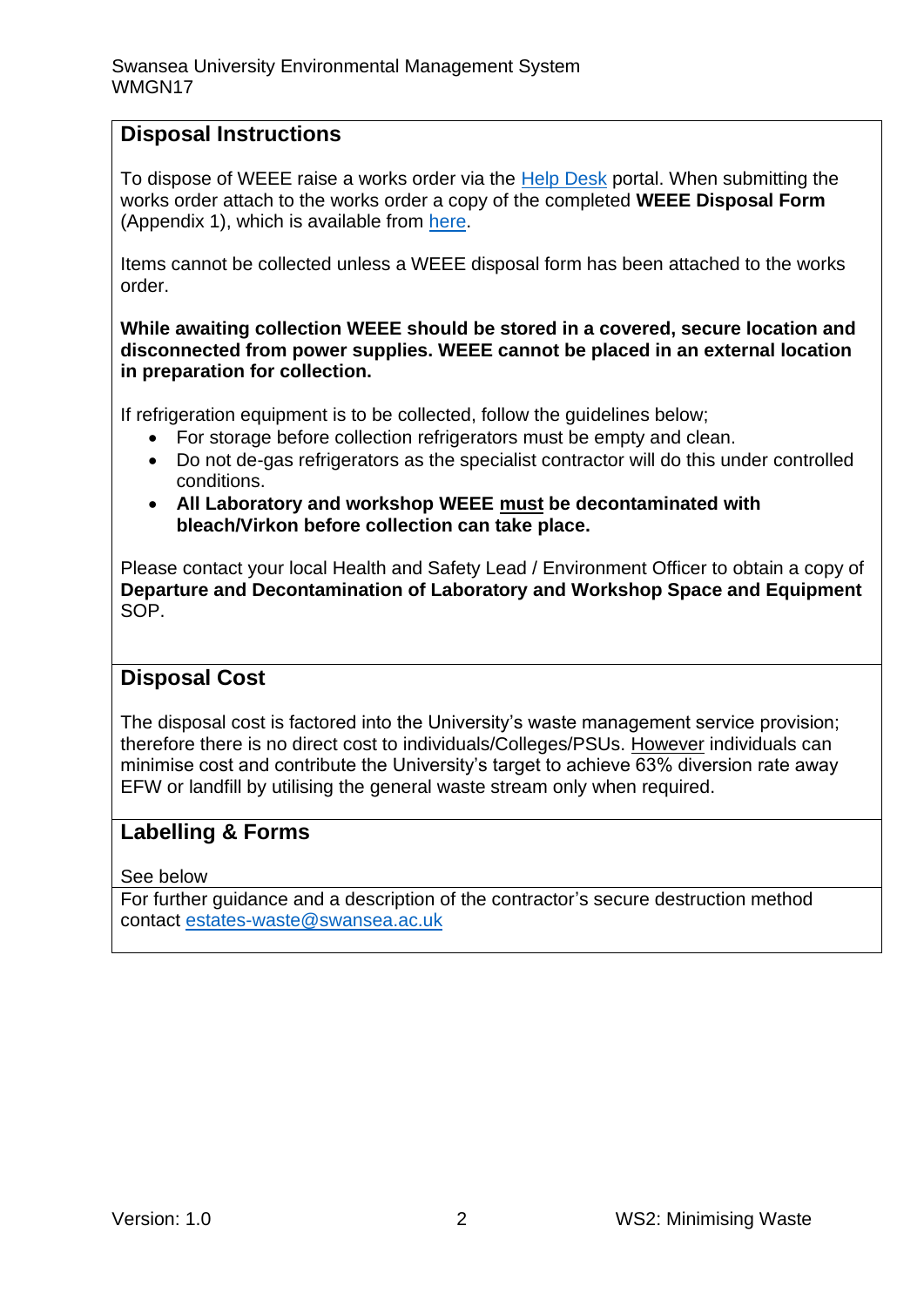### **Disposal Instructions**

To dispose of WEEE raise a works order via the [Help Desk](https://quemis.swan.ac.uk/Q2_Live/login) portal. When submitting the works order attach to the works order a copy of the completed **WEEE Disposal Form** (Appendix 1), which is available from [here.](https://www.swansea.ac.uk/media/weee-disposal-form.docx)

Items cannot be collected unless a WEEE disposal form has been attached to the works order.

**While awaiting collection WEEE should be stored in a covered, secure location and disconnected from power supplies. WEEE cannot be placed in an external location in preparation for collection.** 

If refrigeration equipment is to be collected, follow the guidelines below;

- For storage before collection refrigerators must be empty and clean.
- Do not de-gas refrigerators as the specialist contractor will do this under controlled conditions.
- **All Laboratory and workshop WEEE must be decontaminated with bleach/Virkon before collection can take place.**

Please contact your local Health and Safety Lead / Environment Officer to obtain a copy of **Departure and Decontamination of Laboratory and Workshop Space and Equipment** SOP.

#### **Disposal Cost**

The disposal cost is factored into the University's waste management service provision; therefore there is no direct cost to individuals/Colleges/PSUs. However individuals can minimise cost and contribute the University's target to achieve 63% diversion rate away EFW or landfill by utilising the general waste stream only when required.

#### **Labelling & Forms**

See below

For further guidance and a description of the contractor's secure destruction method contact [estates-waste@swansea.ac.uk](mailto:estates-waste@swansea.ac.uk)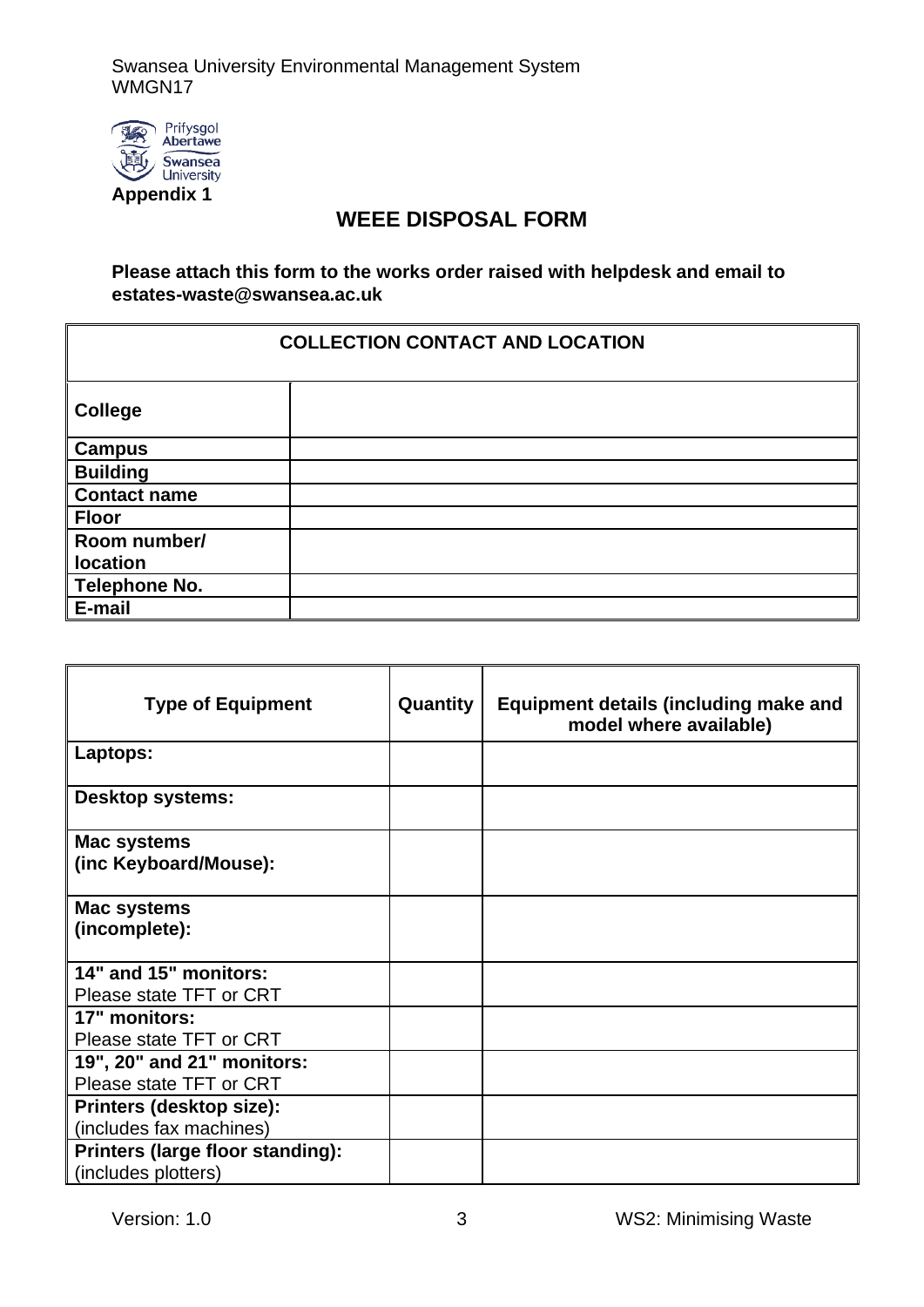Swansea University Environmental Management System WMGN17



### **WEEE DISPOSAL FORM**

**Please attach this form to the works order raised with helpdesk and email to estates-waste@swansea.ac.uk** 

#### **COLLECTION CONTACT AND LOCATION**

| <b>College</b>      |  |
|---------------------|--|
| <b>Campus</b>       |  |
| <b>Building</b>     |  |
| <b>Contact name</b> |  |
| <b>Floor</b>        |  |
| Room number/        |  |
| <b>location</b>     |  |
| Telephone No.       |  |
| E-mail              |  |

| <b>Type of Equipment</b>                | Quantity | Equipment details (including make and<br>model where available) |
|-----------------------------------------|----------|-----------------------------------------------------------------|
| Laptops:                                |          |                                                                 |
| Desktop systems:                        |          |                                                                 |
| Mac systems                             |          |                                                                 |
| (inc Keyboard/Mouse):                   |          |                                                                 |
| Mac systems                             |          |                                                                 |
| (incomplete):                           |          |                                                                 |
| 14" and 15" monitors:                   |          |                                                                 |
| Please state TFT or CRT                 |          |                                                                 |
| 17" monitors:                           |          |                                                                 |
| Please state TFT or CRT                 |          |                                                                 |
| 19", 20" and 21" monitors:              |          |                                                                 |
| Please state TFT or CRT                 |          |                                                                 |
| Printers (desktop size):                |          |                                                                 |
| (includes fax machines)                 |          |                                                                 |
| <b>Printers (large floor standing):</b> |          |                                                                 |
| (includes plotters)                     |          |                                                                 |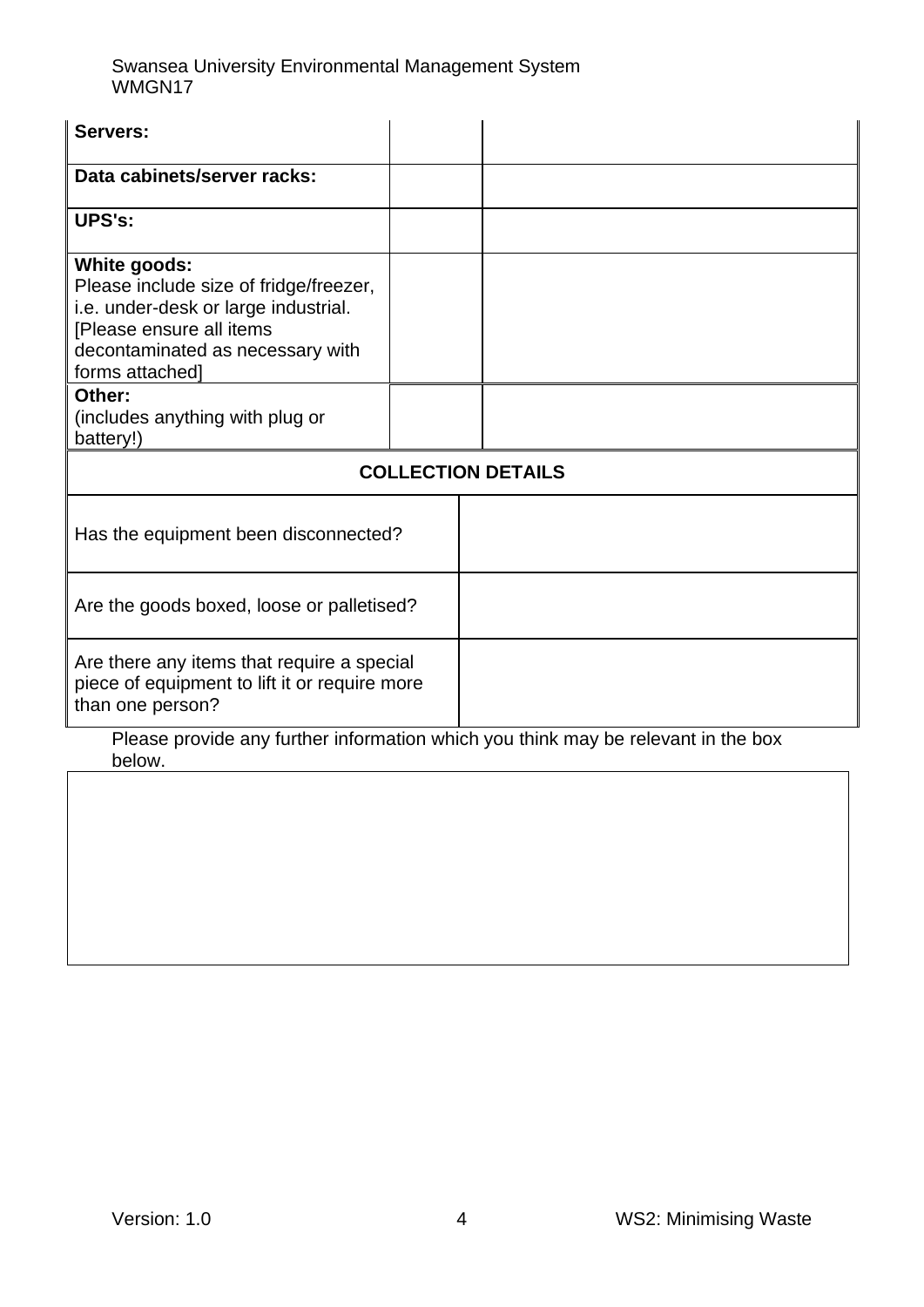Swansea University Environmental Management System WMGN17

| Servers:                                                                                                                                                                                 |  |  |  |  |
|------------------------------------------------------------------------------------------------------------------------------------------------------------------------------------------|--|--|--|--|
| Data cabinets/server racks:                                                                                                                                                              |  |  |  |  |
| <b>UPS's:</b>                                                                                                                                                                            |  |  |  |  |
| <b>White goods:</b><br>Please include size of fridge/freezer,<br>i.e. under-desk or large industrial.<br>[Please ensure all items<br>decontaminated as necessary with<br>forms attached] |  |  |  |  |
| Other:<br>(includes anything with plug or<br>battery!)                                                                                                                                   |  |  |  |  |
| <b>COLLECTION DETAILS</b>                                                                                                                                                                |  |  |  |  |
| Has the equipment been disconnected?                                                                                                                                                     |  |  |  |  |
| Are the goods boxed, loose or palletised?                                                                                                                                                |  |  |  |  |
| Are there any items that require a special<br>piece of equipment to lift it or require more<br>than one person?                                                                          |  |  |  |  |
| Please provide any further information which you think may be relevant in the box<br>below.                                                                                              |  |  |  |  |